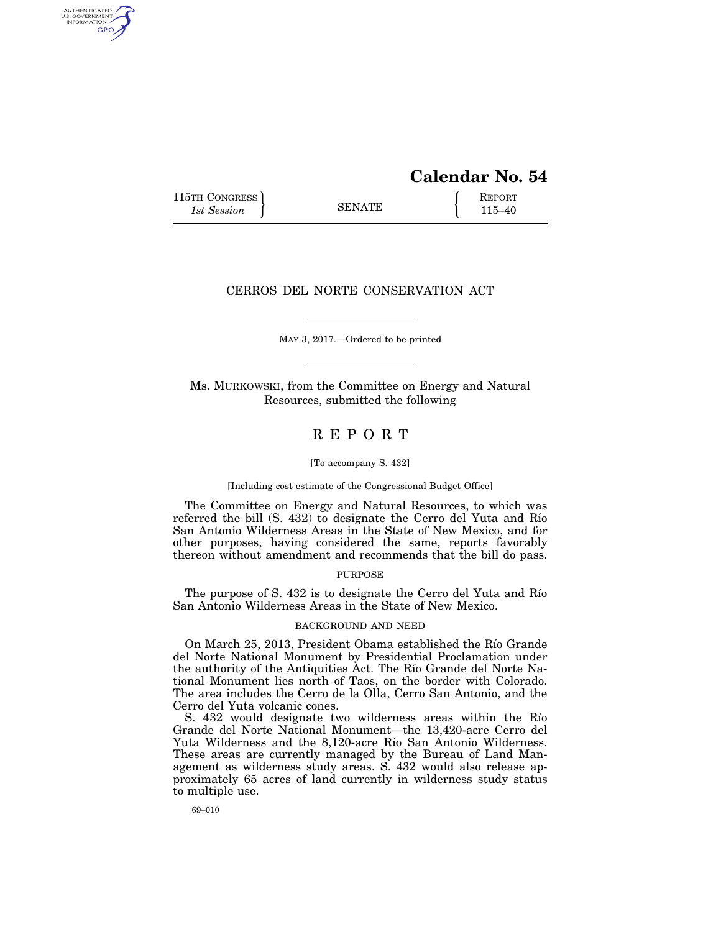# **Calendar No. 54**

115TH CONGRESS REPORT 115-40

AUTHENTICATED<br>U.S. GOVERNMENT<br>INFORMATION GPO

## CERROS DEL NORTE CONSERVATION ACT

MAY 3, 2017.—Ordered to be printed

Ms. MURKOWSKI, from the Committee on Energy and Natural Resources, submitted the following

# R E P O R T

#### [To accompany S. 432]

[Including cost estimate of the Congressional Budget Office]

The Committee on Energy and Natural Resources, to which was referred the bill (S. 432) to designate the Cerro del Yuta and Río San Antonio Wilderness Areas in the State of New Mexico, and for other purposes, having considered the same, reports favorably thereon without amendment and recommends that the bill do pass.

### PURPOSE

The purpose of S. 432 is to designate the Cerro del Yuta and Río San Antonio Wilderness Areas in the State of New Mexico.

## BACKGROUND AND NEED

On March 25, 2013, President Obama established the Rı´o Grande del Norte National Monument by Presidential Proclamation under the authority of the Antiquities Act. The Río Grande del Norte National Monument lies north of Taos, on the border with Colorado. The area includes the Cerro de la Olla, Cerro San Antonio, and the Cerro del Yuta volcanic cones.

S. 432 would designate two wilderness areas within the Río Grande del Norte National Monument—the 13,420-acre Cerro del Yuta Wilderness and the 8,120-acre Río San Antonio Wilderness. These areas are currently managed by the Bureau of Land Management as wilderness study areas. S. 432 would also release approximately 65 acres of land currently in wilderness study status to multiple use.

69–010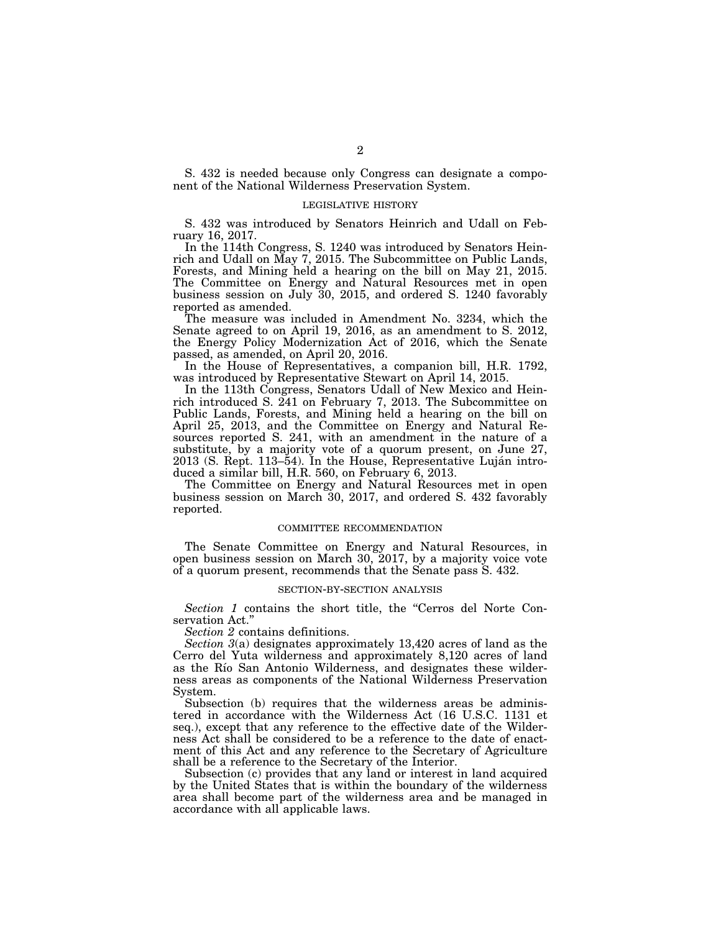S. 432 is needed because only Congress can designate a component of the National Wilderness Preservation System.

### LEGISLATIVE HISTORY

S. 432 was introduced by Senators Heinrich and Udall on February 16, 2017.

In the 114th Congress, S. 1240 was introduced by Senators Heinrich and Udall on May 7, 2015. The Subcommittee on Public Lands, Forests, and Mining held a hearing on the bill on May 21, 2015. The Committee on Energy and Natural Resources met in open business session on July 30, 2015, and ordered S. 1240 favorably reported as amended.

The measure was included in Amendment No. 3234, which the Senate agreed to on April 19, 2016, as an amendment to S. 2012, the Energy Policy Modernization Act of 2016, which the Senate passed, as amended, on April 20, 2016.

In the House of Representatives, a companion bill, H.R. 1792, was introduced by Representative Stewart on April 14, 2015.

In the 113th Congress, Senators Udall of New Mexico and Heinrich introduced S. 241 on February 7, 2013. The Subcommittee on Public Lands, Forests, and Mining held a hearing on the bill on April 25, 2013, and the Committee on Energy and Natural Resources reported S. 241, with an amendment in the nature of a substitute, by a majority vote of a quorum present, on June 27, 2013 (S. Rept. 113–54). In the House, Representative Luján introduced a similar bill, H.R. 560, on February 6, 2013.

The Committee on Energy and Natural Resources met in open business session on March 30, 2017, and ordered S. 432 favorably reported.

#### COMMITTEE RECOMMENDATION

The Senate Committee on Energy and Natural Resources, in open business session on March 30, 2017, by a majority voice vote of a quorum present, recommends that the Senate pass S. 432.

#### SECTION-BY-SECTION ANALYSIS

*Section 1* contains the short title, the "Cerros del Norte Conservation Act.'

*Section 2* contains definitions.

*Section 3*(a) designates approximately 13,420 acres of land as the Cerro del Yuta wilderness and approximately 8,120 acres of land as the Río San Antonio Wilderness, and designates these wilderness areas as components of the National Wilderness Preservation System.

Subsection (b) requires that the wilderness areas be administered in accordance with the Wilderness Act (16 U.S.C. 1131 et seq.), except that any reference to the effective date of the Wilderness Act shall be considered to be a reference to the date of enactment of this Act and any reference to the Secretary of Agriculture shall be a reference to the Secretary of the Interior.

Subsection (c) provides that any land or interest in land acquired by the United States that is within the boundary of the wilderness area shall become part of the wilderness area and be managed in accordance with all applicable laws.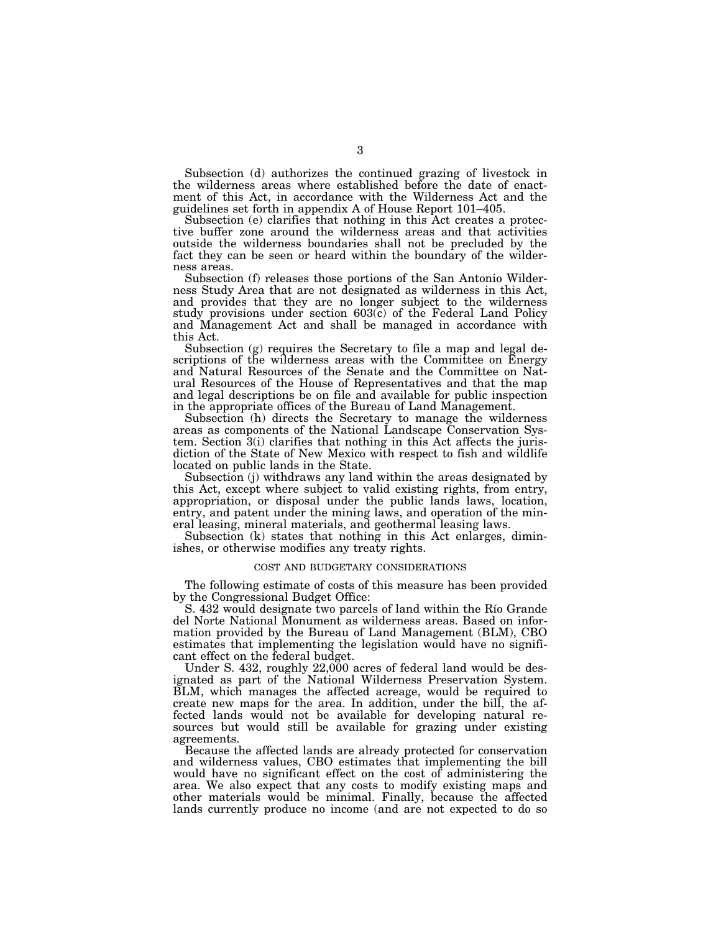Subsection (d) authorizes the continued grazing of livestock in the wilderness areas where established before the date of enactment of this Act, in accordance with the Wilderness Act and the guidelines set forth in appendix A of House Report 101–405.

Subsection (e) clarifies that nothing in this Act creates a protective buffer zone around the wilderness areas and that activities outside the wilderness boundaries shall not be precluded by the fact they can be seen or heard within the boundary of the wilderness areas.

Subsection (f) releases those portions of the San Antonio Wilderness Study Area that are not designated as wilderness in this Act, and provides that they are no longer subject to the wilderness study provisions under section 603(c) of the Federal Land Policy and Management Act and shall be managed in accordance with this Act.

Subsection (g) requires the Secretary to file a map and legal descriptions of the wilderness areas with the Committee on Energy and Natural Resources of the Senate and the Committee on Natural Resources of the House of Representatives and that the map and legal descriptions be on file and available for public inspection in the appropriate offices of the Bureau of Land Management.

Subsection (h) directs the Secretary to manage the wilderness areas as components of the National Landscape Conservation System. Section 3(i) clarifies that nothing in this Act affects the jurisdiction of the State of New Mexico with respect to fish and wildlife located on public lands in the State.

Subsection (j) withdraws any land within the areas designated by this Act, except where subject to valid existing rights, from entry, appropriation, or disposal under the public lands laws, location, entry, and patent under the mining laws, and operation of the mineral leasing, mineral materials, and geothermal leasing laws.

Subsection (k) states that nothing in this Act enlarges, diminishes, or otherwise modifies any treaty rights.

#### COST AND BUDGETARY CONSIDERATIONS

The following estimate of costs of this measure has been provided by the Congressional Budget Office:

S. 432 would designate two parcels of land within the Rio Grande del Norte National Monument as wilderness areas. Based on information provided by the Bureau of Land Management (BLM), CBO estimates that implementing the legislation would have no significant effect on the federal budget.

Under S. 432, roughly 22,000 acres of federal land would be designated as part of the National Wilderness Preservation System. BLM, which manages the affected acreage, would be required to create new maps for the area. In addition, under the bill, the affected lands would not be available for developing natural resources but would still be available for grazing under existing agreements.

Because the affected lands are already protected for conservation and wilderness values, CBO estimates that implementing the bill would have no significant effect on the cost of administering the area. We also expect that any costs to modify existing maps and other materials would be minimal. Finally, because the affected lands currently produce no income (and are not expected to do so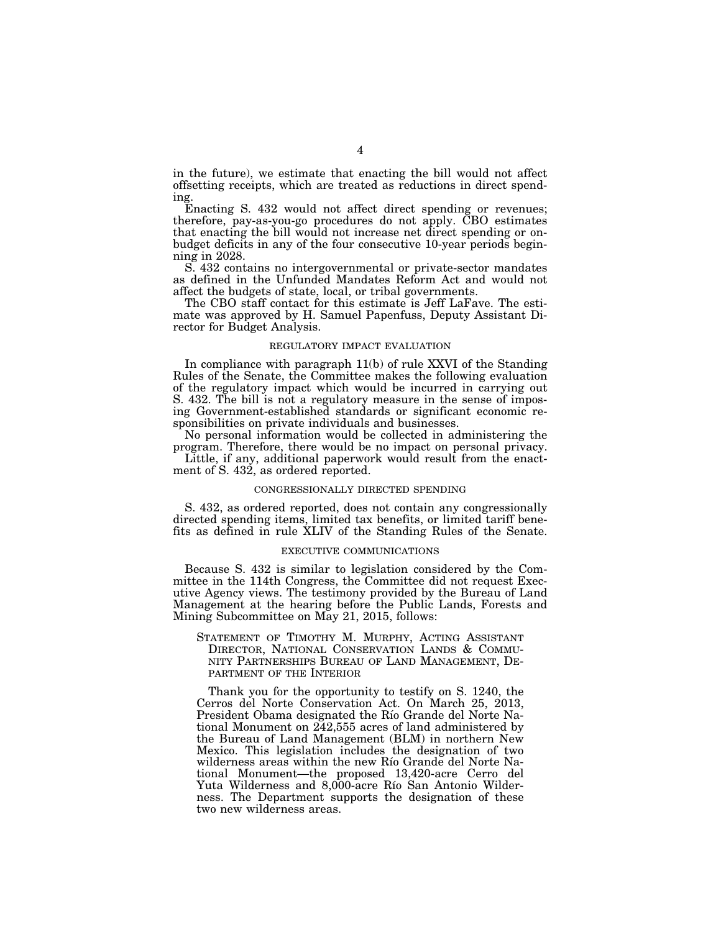in the future), we estimate that enacting the bill would not affect offsetting receipts, which are treated as reductions in direct spending.

Enacting S. 432 would not affect direct spending or revenues; therefore, pay-as-you-go procedures do not apply. CBO estimates that enacting the bill would not increase net direct spending or onbudget deficits in any of the four consecutive 10-year periods beginning in 2028.

S. 432 contains no intergovernmental or private-sector mandates as defined in the Unfunded Mandates Reform Act and would not affect the budgets of state, local, or tribal governments.

The CBO staff contact for this estimate is Jeff LaFave. The estimate was approved by H. Samuel Papenfuss, Deputy Assistant Director for Budget Analysis.

## REGULATORY IMPACT EVALUATION

In compliance with paragraph 11(b) of rule XXVI of the Standing Rules of the Senate, the Committee makes the following evaluation of the regulatory impact which would be incurred in carrying out S. 432. The bill is not a regulatory measure in the sense of imposing Government-established standards or significant economic responsibilities on private individuals and businesses.

No personal information would be collected in administering the program. Therefore, there would be no impact on personal privacy.

Little, if any, additional paperwork would result from the enactment of S. 432, as ordered reported.

#### CONGRESSIONALLY DIRECTED SPENDING

S. 432, as ordered reported, does not contain any congressionally directed spending items, limited tax benefits, or limited tariff benefits as defined in rule XLIV of the Standing Rules of the Senate.

## EXECUTIVE COMMUNICATIONS

Because S. 432 is similar to legislation considered by the Committee in the 114th Congress, the Committee did not request Executive Agency views. The testimony provided by the Bureau of Land Management at the hearing before the Public Lands, Forests and Mining Subcommittee on May 21, 2015, follows:

STATEMENT OF TIMOTHY M. MURPHY, ACTING ASSISTANT DIRECTOR, NATIONAL CONSERVATION LANDS & COMMU-NITY PARTNERSHIPS BUREAU OF LAND MANAGEMENT, DE-PARTMENT OF THE INTERIOR

Thank you for the opportunity to testify on S. 1240, the Cerros del Norte Conservation Act. On March 25, 2013, President Obama designated the Río Grande del Norte National Monument on 242,555 acres of land administered by the Bureau of Land Management (BLM) in northern New Mexico. This legislation includes the designation of two wilderness areas within the new Río Grande del Norte National Monument—the proposed 13,420-acre Cerro del Yuta Wilderness and 8,000-acre Río San Antonio Wilderness. The Department supports the designation of these two new wilderness areas.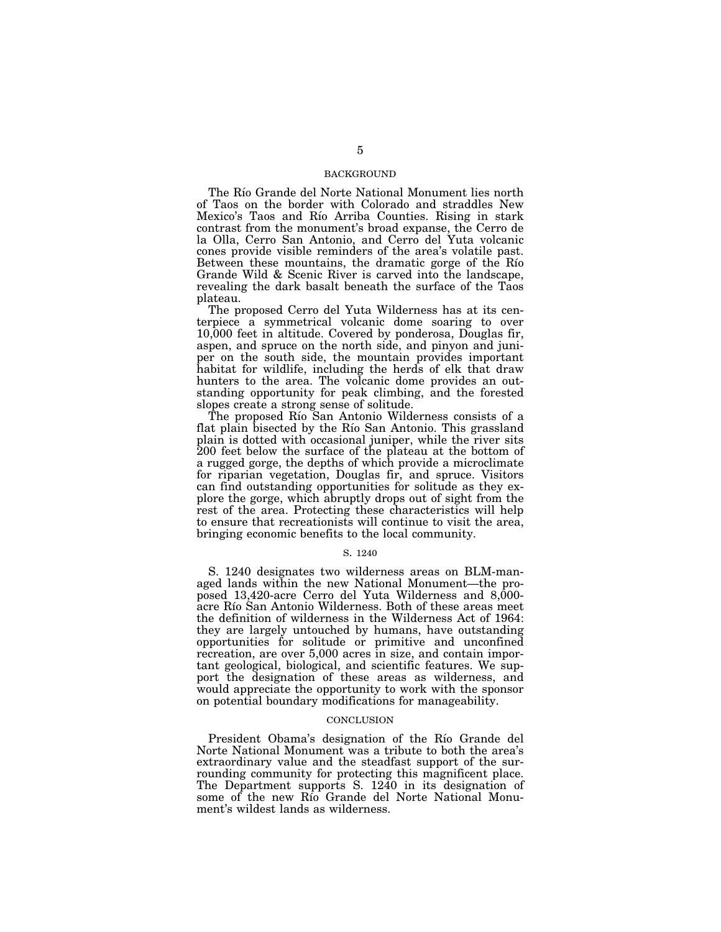## BACKGROUND

The Río Grande del Norte National Monument lies north of Taos on the border with Colorado and straddles New Mexico's Taos and Río Arriba Counties. Rising in stark contrast from the monument's broad expanse, the Cerro de la Olla, Cerro San Antonio, and Cerro del Yuta volcanic cones provide visible reminders of the area's volatile past. Between these mountains, the dramatic gorge of the Rio Grande Wild & Scenic River is carved into the landscape, revealing the dark basalt beneath the surface of the Taos plateau.

The proposed Cerro del Yuta Wilderness has at its centerpiece a symmetrical volcanic dome soaring to over 10,000 feet in altitude. Covered by ponderosa, Douglas fir, aspen, and spruce on the north side, and pinyon and juniper on the south side, the mountain provides important habitat for wildlife, including the herds of elk that draw hunters to the area. The volcanic dome provides an outstanding opportunity for peak climbing, and the forested slopes create a strong sense of solitude.

The proposed Río San Antonio Wilderness consists of a flat plain bisected by the Río San Antonio. This grassland plain is dotted with occasional juniper, while the river sits 200 feet below the surface of the plateau at the bottom of a rugged gorge, the depths of which provide a microclimate for riparian vegetation, Douglas fir, and spruce. Visitors can find outstanding opportunities for solitude as they explore the gorge, which abruptly drops out of sight from the rest of the area. Protecting these characteristics will help to ensure that recreationists will continue to visit the area, bringing economic benefits to the local community.

## S. 1240

S. 1240 designates two wilderness areas on BLM-managed lands within the new National Monument—the proposed 13,420-acre Cerro del Yuta Wilderness and 8,000acre Río San Antonio Wilderness. Both of these areas meet the definition of wilderness in the Wilderness Act of 1964: they are largely untouched by humans, have outstanding opportunities for solitude or primitive and unconfined recreation, are over 5,000 acres in size, and contain important geological, biological, and scientific features. We support the designation of these areas as wilderness, and would appreciate the opportunity to work with the sponsor on potential boundary modifications for manageability.

#### **CONCLUSION**

President Obama's designation of the Rio Grande del Norte National Monument was a tribute to both the area's extraordinary value and the steadfast support of the surrounding community for protecting this magnificent place. The Department supports S. 1240 in its designation of some of the new Rı´o Grande del Norte National Monument's wildest lands as wilderness.